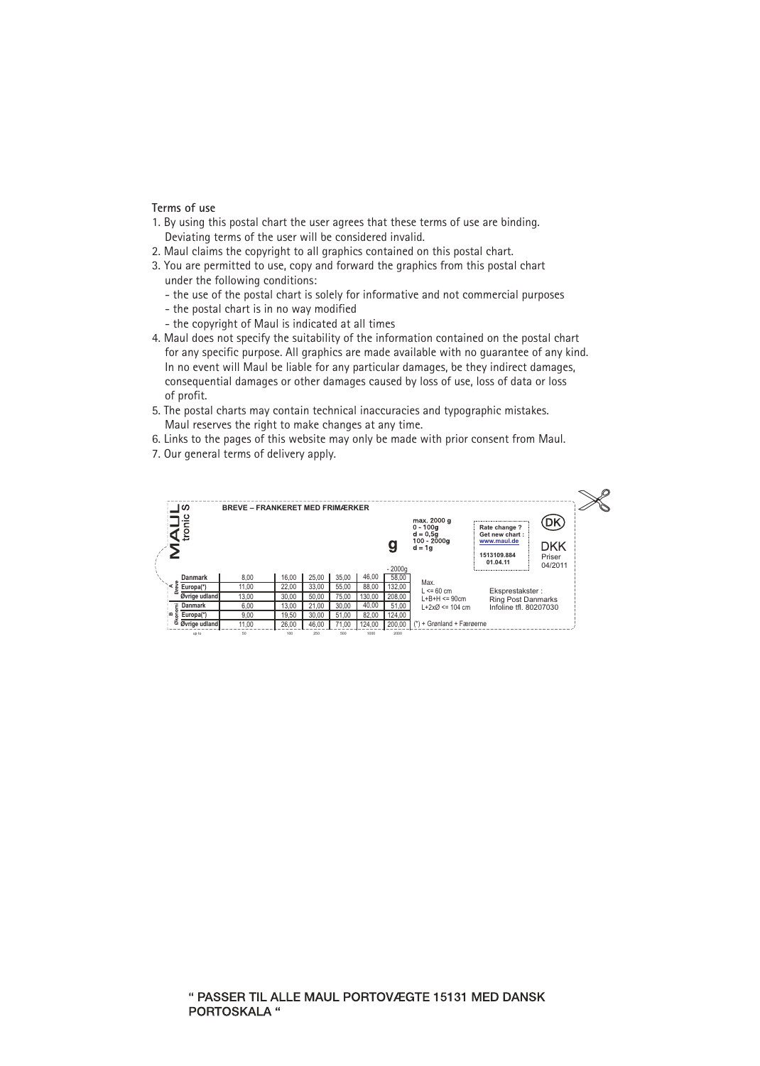## **Terms of use**

- 1. By using this postal chart the user agrees that these terms of use are binding. Deviating terms of the user will be considered invalid.
- 2. Maul claims the copyright to all graphics contained on this postal chart.
- 3. You are permitted to use, copy and forward the graphics from this postal chart under the following conditions:
	- the use of the postal chart is solely for informative and not commercial purposes
	- the postal chart is in no way modified
	- the copyright of Maul is indicated at all times
- 4. Maul does not specify the suitability of the information contained on the postal chart for any specific purpose. All graphics are made available with no guarantee of any kind. In no event will Maul be liable for any particular damages, be they indirect damages, consequential damages or other damages caused by loss of use, loss of data or loss of profit.
- 5. The postal charts may contain technical inaccuracies and typographic mistakes. Maul reserves the right to make changes at any time.
- 6. Links to the pages of this website may only be made with prior consent from Maul.
- 7. Our general terms of delivery apply.